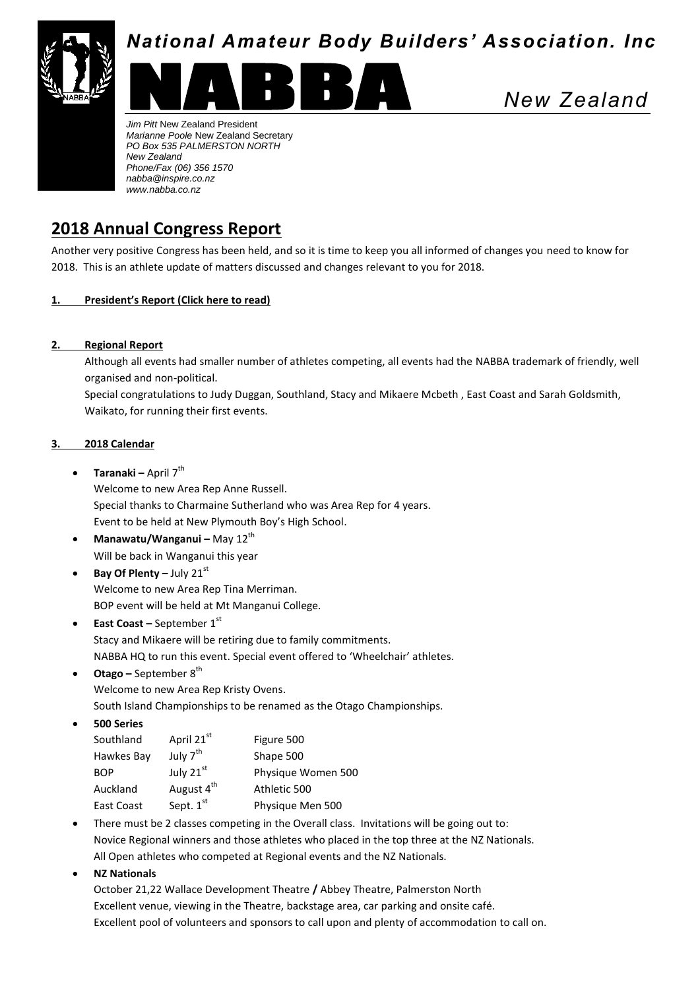

# *National Amateur Body Builders' Association. Inc*



*New Zealand*

*Jim Pitt* New Zealand President *Marianne Poole* New Zealand Secretary *PO Box 535 PALMERSTON NORTH New Zealand Phone/Fax (06) 356 1570 nabba@inspire.co.nz www.nabba.co.nz*

## **2018 Annual Congress Report**

Another very positive Congress has been held, and so it is time to keep you all informed of changes you need to know for 2018. This is an athlete update of matters discussed and changes relevant to you for 2018.

## **1. President's Report (Click here to read)**

## **2. Regional Report**

Although all events had smaller number of athletes competing, all events had the NABBA trademark of friendly, well organised and non-political.

Special congratulations to Judy Duggan, Southland, Stacy and Mikaere Mcbeth , East Coast and Sarah Goldsmith, Waikato, for running their first events.

#### **3. 2018 Calendar**

**• Taranaki –** April 7<sup>th</sup>

Welcome to new Area Rep Anne Russell. Special thanks to Charmaine Sutherland who was Area Rep for 4 years. Event to be held at New Plymouth Boy's High School.

- **Manawatu/Wanganui –** May 12<sup>th</sup> Will be back in Wanganui this year
- **•** Bay Of Plenty July 21st Welcome to new Area Rep Tina Merriman. BOP event will be held at Mt Manganui College.
- **East Coast –** September 1st Stacy and Mikaere will be retiring due to family commitments. NABBA HQ to run this event. Special event offered to 'Wheelchair' athletes.
- **Otago** September 8<sup>th</sup>

Welcome to new Area Rep Kristy Ovens.

South Island Championships to be renamed as the Otago Championships.

**500 Series**

| Southland  | April 21st             | Figure 500         |
|------------|------------------------|--------------------|
| Hawkes Bay | July 7 <sup>th</sup>   | Shape 500          |
| <b>BOP</b> | July 21st              | Physique Women 500 |
| Auckland   | August 4 <sup>th</sup> | Athletic 500       |
| East Coast | Sept. $1st$            | Physique Men 500   |

- There must be 2 classes competing in the Overall class. Invitations will be going out to: Novice Regional winners and those athletes who placed in the top three at the NZ Nationals. All Open athletes who competed at Regional events and the NZ Nationals.
- **NZ Nationals**

October 21,22 Wallace Development Theatre **/** Abbey Theatre, Palmerston North Excellent venue, viewing in the Theatre, backstage area, car parking and onsite café. Excellent pool of volunteers and sponsors to call upon and plenty of accommodation to call on.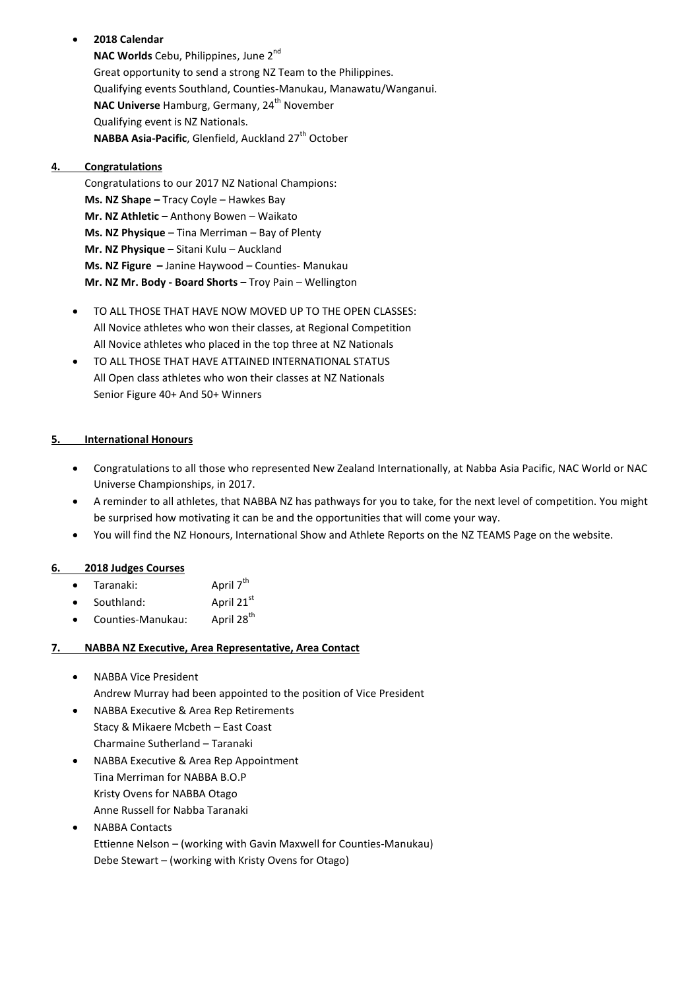## **2018 Calendar**

**NAC Worlds** Cebu, Philippines, June 2<sup>nd</sup> Great opportunity to send a strong NZ Team to the Philippines. Qualifying events Southland, Counties-Manukau, Manawatu/Wanganui. NAC Universe Hamburg, Germany, 24<sup>th</sup> November Qualifying event is NZ Nationals. **NABBA Asia-Pacific, Glenfield, Auckland 27<sup>th</sup> October** 

## **4. Congratulations**

Congratulations to our 2017 NZ National Champions: **Ms. NZ Shape –** Tracy Coyle – Hawkes Bay **Mr. NZ Athletic –** Anthony Bowen – Waikato **Ms. NZ Physique** – Tina Merriman – Bay of Plenty **Mr. NZ Physique –** Sitani Kulu – Auckland **Ms. NZ Figure –** Janine Haywood – Counties- Manukau **Mr. NZ Mr. Body - Board Shorts –** Troy Pain – Wellington

- TO ALL THOSE THAT HAVE NOW MOVED UP TO THE OPEN CLASSES: All Novice athletes who won their classes, at Regional Competition All Novice athletes who placed in the top three at NZ Nationals
- TO ALL THOSE THAT HAVE ATTAINED INTERNATIONAL STATUS All Open class athletes who won their classes at NZ Nationals Senior Figure 40+ And 50+ Winners

## **5. International Honours**

- Congratulations to all those who represented New Zealand Internationally, at Nabba Asia Pacific, NAC World or NAC Universe Championships, in 2017.
- A reminder to all athletes, that NABBA NZ has pathways for you to take, for the next level of competition. You might be surprised how motivating it can be and the opportunities that will come your way.
- You will find the NZ Honours, International Show and Athlete Reports on the NZ TEAMS Page on the website.

### **6. 2018 Judges Courses**

- Taranaki: April 7<sup>th</sup>
- Southland:  $\overline{A}$  April 21st
- $\bullet$  Counties-Manukau: April 28<sup>th</sup>

#### **7. NABBA NZ Executive, Area Representative, Area Contact**

- NABBA Vice President Andrew Murray had been appointed to the position of Vice President
- NABBA Executive & Area Rep Retirements Stacy & Mikaere Mcbeth – East Coast Charmaine Sutherland – Taranaki
- NABBA Executive & Area Rep Appointment Tina Merriman for NABBA B.O.P Kristy Ovens for NABBA Otago Anne Russell for Nabba Taranaki
- NABBA Contacts Ettienne Nelson – (working with Gavin Maxwell for Counties-Manukau) Debe Stewart – (working with Kristy Ovens for Otago)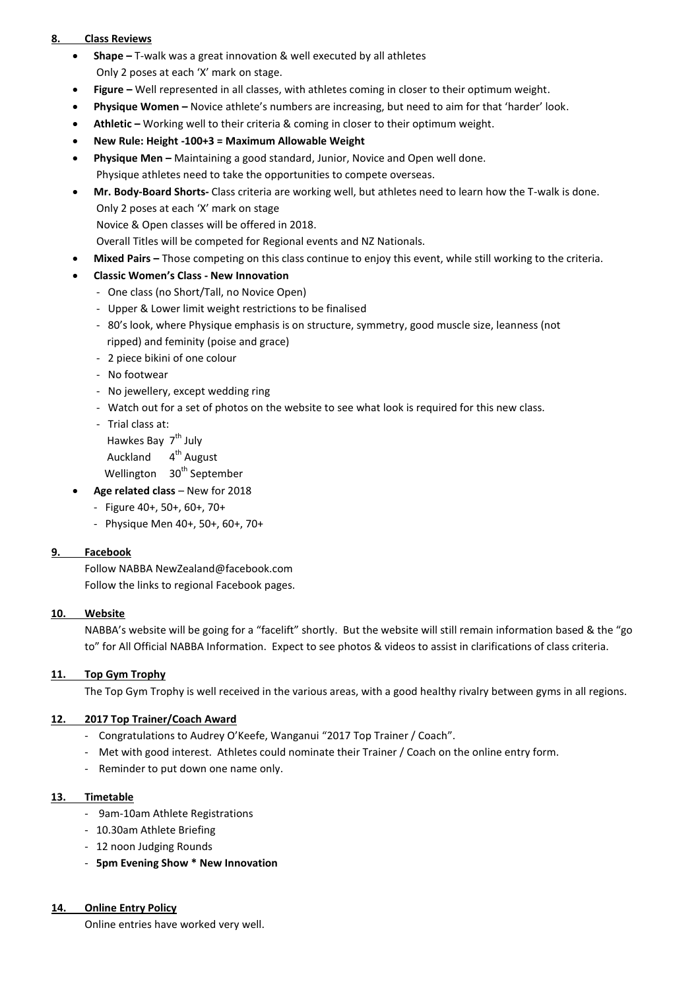#### **8. Class Reviews**

- **Shape –** T-walk was a great innovation & well executed by all athletes Only 2 poses at each 'X' mark on stage.
- **Figure –** Well represented in all classes, with athletes coming in closer to their optimum weight.
- **Physique Women –** Novice athlete's numbers are increasing, but need to aim for that 'harder' look.
- **Athletic –** Working well to their criteria & coming in closer to their optimum weight.
- **New Rule: Height -100+3 = Maximum Allowable Weight**
- **Physique Men –** Maintaining a good standard, Junior, Novice and Open well done. Physique athletes need to take the opportunities to compete overseas.
- **Mr. Body-Board Shorts-** Class criteria are working well, but athletes need to learn how the T-walk is done. Only 2 poses at each 'X' mark on stage

Novice & Open classes will be offered in 2018.

Overall Titles will be competed for Regional events and NZ Nationals.

- **Mixed Pairs –** Those competing on this class continue to enjoy this event, while still working to the criteria.
- **Classic Women's Class - New Innovation**
	- One class (no Short/Tall, no Novice Open)
	- Upper & Lower limit weight restrictions to be finalised
	- 80's look, where Physique emphasis is on structure, symmetry, good muscle size, leanness (not ripped) and feminity (poise and grace)
	- 2 piece bikini of one colour
	- No footwear
	- No jewellery, except wedding ring
	- Watch out for a set of photos on the website to see what look is required for this new class.
	- Trial class at:
	- Hawkes Bay 7<sup>th</sup> July
	- Auckland 4<sup>th</sup> August
		- Wellington 30<sup>th</sup> September
- **Age related class** New for 2018
	- Figure 40+, 50+, 60+, 70+
	- Physique Men 40+, 50+, 60+, 70+

#### **9. Facebook**

Follow NABBA Ne[wZealand@facebook.com](mailto:Zealand@facebook.com) Follow the links to regional Facebook pages.

#### **10. Website**

NABBA's website will be going for a "facelift" shortly. But the website will still remain information based & the "go to" for All Official NABBA Information. Expect to see photos & videos to assist in clarifications of class criteria.

#### **11. Top Gym Trophy**

The Top Gym Trophy is well received in the various areas, with a good healthy rivalry between gyms in all regions.

#### **12. 2017 Top Trainer/Coach Award**

- Congratulations to Audrey O'Keefe, Wanganui "2017 Top Trainer / Coach".
- Met with good interest. Athletes could nominate their Trainer / Coach on the online entry form.
- Reminder to put down one name only.

#### **13. Timetable**

- 9am-10am Athlete Registrations
- 10.30am Athlete Briefing
- 12 noon Judging Rounds
- **5pm Evening Show \* New Innovation**

#### **14. Online Entry Policy**

Online entries have worked very well.